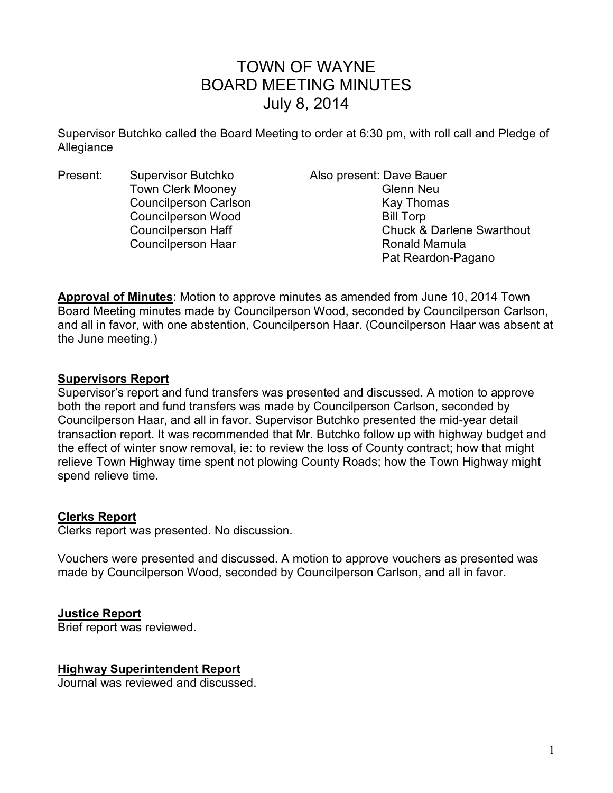# TOWN OF WAYNE BOARD MEETING MINUTES July 8, 2014

Supervisor Butchko called the Board Meeting to order at 6:30 pm, with roll call and Pledge of Allegiance

Present: Supervisor Butchko Also present: Dave Bauer Town Clerk Mooney **Glenn Neu** Councilperson Carlson **Kay Thomas** Councilperson Wood Bill Torp

Councilperson Haff Council Chuck & Darlene Swarthout Councilperson Haar Ronald Mamula Pat Reardon-Pagano

**Approval of Minutes**: Motion to approve minutes as amended from June 10, 2014 Town Board Meeting minutes made by Councilperson Wood, seconded by Councilperson Carlson, and all in favor, with one abstention, Councilperson Haar. (Councilperson Haar was absent at the June meeting.)

### **Supervisors Report**

Supervisor's report and fund transfers was presented and discussed. A motion to approve both the report and fund transfers was made by Councilperson Carlson, seconded by Councilperson Haar, and all in favor. Supervisor Butchko presented the mid-year detail transaction report. It was recommended that Mr. Butchko follow up with highway budget and the effect of winter snow removal, ie: to review the loss of County contract; how that might relieve Town Highway time spent not plowing County Roads; how the Town Highway might spend relieve time.

#### **Clerks Report**

Clerks report was presented. No discussion.

Vouchers were presented and discussed. A motion to approve vouchers as presented was made by Councilperson Wood, seconded by Councilperson Carlson, and all in favor.

#### **Justice Report**

Brief report was reviewed.

#### **Highway Superintendent Report**

Journal was reviewed and discussed.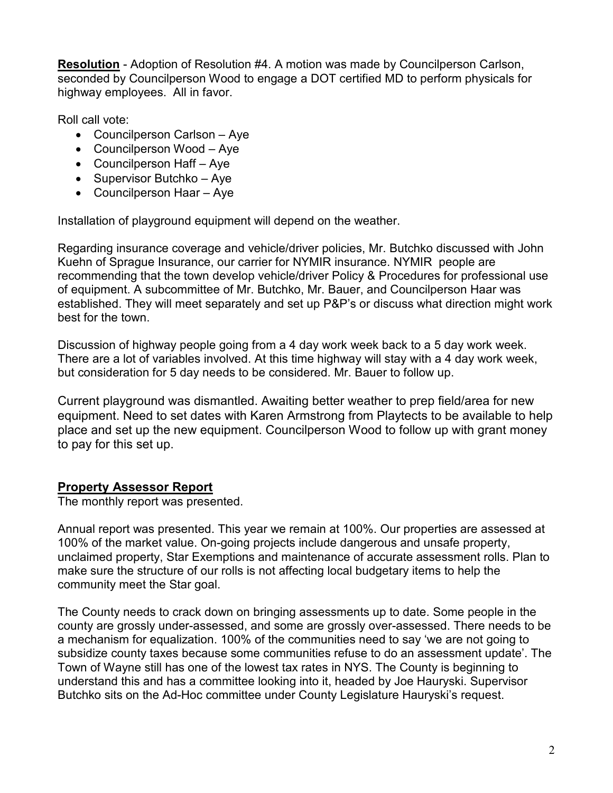**Resolution** - Adoption of Resolution #4. A motion was made by Councilperson Carlson, seconded by Councilperson Wood to engage a DOT certified MD to perform physicals for highway employees. All in favor.

Roll call vote:

- Councilperson Carlson Aye
- Councilperson Wood Aye
- Councilperson Haff Aye
- Supervisor Butchko Aye
- Councilperson Haar Aye

Installation of playground equipment will depend on the weather.

Regarding insurance coverage and vehicle/driver policies, Mr. Butchko discussed with John Kuehn of Sprague Insurance, our carrier for NYMIR insurance. NYMIR people are recommending that the town develop vehicle/driver Policy & Procedures for professional use of equipment. A subcommittee of Mr. Butchko, Mr. Bauer, and Councilperson Haar was established. They will meet separately and set up P&P's or discuss what direction might work best for the town.

Discussion of highway people going from a 4 day work week back to a 5 day work week. There are a lot of variables involved. At this time highway will stay with a 4 day work week, but consideration for 5 day needs to be considered. Mr. Bauer to follow up.

Current playground was dismantled. Awaiting better weather to prep field/area for new equipment. Need to set dates with Karen Armstrong from Playtects to be available to help place and set up the new equipment. Councilperson Wood to follow up with grant money to pay for this set up.

# **Property Assessor Report**

The monthly report was presented.

Annual report was presented. This year we remain at 100%. Our properties are assessed at 100% of the market value. On-going projects include dangerous and unsafe property, unclaimed property, Star Exemptions and maintenance of accurate assessment rolls. Plan to make sure the structure of our rolls is not affecting local budgetary items to help the community meet the Star goal.

The County needs to crack down on bringing assessments up to date. Some people in the county are grossly under-assessed, and some are grossly over-assessed. There needs to be a mechanism for equalization. 100% of the communities need to say 'we are not going to subsidize county taxes because some communities refuse to do an assessment update'. The Town of Wayne still has one of the lowest tax rates in NYS. The County is beginning to understand this and has a committee looking into it, headed by Joe Hauryski. Supervisor Butchko sits on the Ad-Hoc committee under County Legislature Hauryski's request.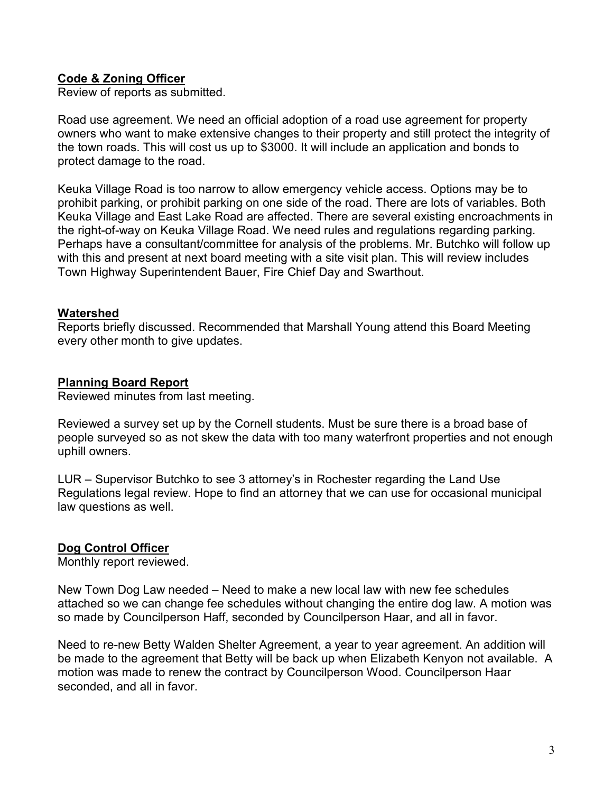# **Code & Zoning Officer**

Review of reports as submitted.

Road use agreement. We need an official adoption of a road use agreement for property owners who want to make extensive changes to their property and still protect the integrity of the town roads. This will cost us up to \$3000. It will include an application and bonds to protect damage to the road.

Keuka Village Road is too narrow to allow emergency vehicle access. Options may be to prohibit parking, or prohibit parking on one side of the road. There are lots of variables. Both Keuka Village and East Lake Road are affected. There are several existing encroachments in the right-of-way on Keuka Village Road. We need rules and regulations regarding parking. Perhaps have a consultant/committee for analysis of the problems. Mr. Butchko will follow up with this and present at next board meeting with a site visit plan. This will review includes Town Highway Superintendent Bauer, Fire Chief Day and Swarthout.

#### **Watershed**

Reports briefly discussed. Recommended that Marshall Young attend this Board Meeting every other month to give updates.

#### **Planning Board Report**

Reviewed minutes from last meeting.

Reviewed a survey set up by the Cornell students. Must be sure there is a broad base of people surveyed so as not skew the data with too many waterfront properties and not enough uphill owners.

LUR – Supervisor Butchko to see 3 attorney's in Rochester regarding the Land Use Regulations legal review. Hope to find an attorney that we can use for occasional municipal law questions as well.

#### **Dog Control Officer**

Monthly report reviewed.

New Town Dog Law needed – Need to make a new local law with new fee schedules attached so we can change fee schedules without changing the entire dog law. A motion was so made by Councilperson Haff, seconded by Councilperson Haar, and all in favor.

Need to re-new Betty Walden Shelter Agreement, a year to year agreement. An addition will be made to the agreement that Betty will be back up when Elizabeth Kenyon not available. A motion was made to renew the contract by Councilperson Wood. Councilperson Haar seconded, and all in favor.